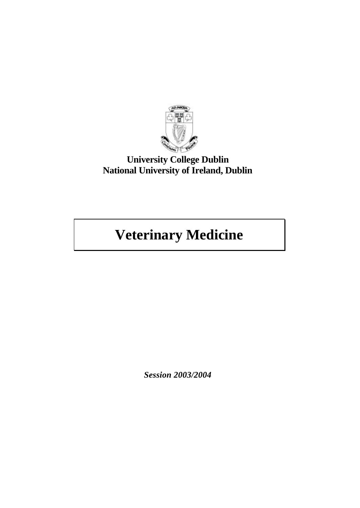

# **University College Dublin National University of Ireland, Dublin**

# **Veterinary Medicine**

*Session 2003/2004*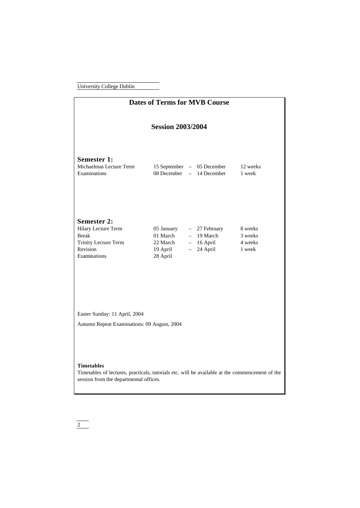| <b>Dates of Terms for MVB Course</b>                                                                                                                           |                                                            |                                                                     |                                         |  |  |  |
|----------------------------------------------------------------------------------------------------------------------------------------------------------------|------------------------------------------------------------|---------------------------------------------------------------------|-----------------------------------------|--|--|--|
| <b>Session 2003/2004</b>                                                                                                                                       |                                                            |                                                                     |                                         |  |  |  |
| <b>Semester 1:</b><br>Michaelmas Lecture Term<br>Examinations                                                                                                  | 08 December                                                | 15 September – 05 December<br>- 14 December                         | 12 weeks<br>1 week                      |  |  |  |
| <b>Semester 2:</b><br>Hilary Lecture Term<br><b>Break</b><br><b>Trinity Lecture Term</b><br>Revision<br>Examinations                                           | 05 January<br>01 March<br>22 March<br>19 April<br>28 April | - 27 February<br>$-19$ March<br>$-16$ April<br>24 April<br>$\equiv$ | 8 weeks<br>3 weeks<br>4 weeks<br>1 week |  |  |  |
| Easter Sunday: 11 April, 2004<br>Autumn Repeat Examinations: 09 August, 2004                                                                                   |                                                            |                                                                     |                                         |  |  |  |
| <b>Timetables</b><br>Timetables of lectures, practicals, tutorials etc. will be available at the commencement of the<br>session from the departmental offices. |                                                            |                                                                     |                                         |  |  |  |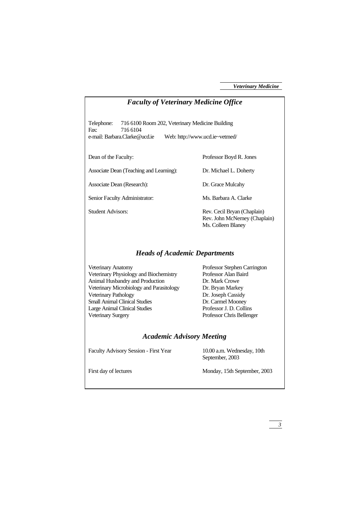| <b>Faculty of Veterinary Medicine Office</b>                                                                                                                                                                                                                                     |                                                                                                                                                                                               |  |  |  |
|----------------------------------------------------------------------------------------------------------------------------------------------------------------------------------------------------------------------------------------------------------------------------------|-----------------------------------------------------------------------------------------------------------------------------------------------------------------------------------------------|--|--|--|
| Telephone:<br>716 6100 Room 202, Veterinary Medicine Building<br>Fax:<br>716 6104<br>e-mail: Barbara.Clarke@ucd.ie<br>Web: http://www.ucd.ie~vetmed/                                                                                                                             |                                                                                                                                                                                               |  |  |  |
| Dean of the Faculty:                                                                                                                                                                                                                                                             | Professor Boyd R. Jones                                                                                                                                                                       |  |  |  |
| Associate Dean (Teaching and Learning):                                                                                                                                                                                                                                          | Dr. Michael L. Doherty                                                                                                                                                                        |  |  |  |
| Associate Dean (Research):                                                                                                                                                                                                                                                       | Dr. Grace Mulcahy                                                                                                                                                                             |  |  |  |
| Senior Faculty Administrator:                                                                                                                                                                                                                                                    | Ms. Barbara A. Clarke                                                                                                                                                                         |  |  |  |
| <b>Student Advisors:</b>                                                                                                                                                                                                                                                         | Rev. Cecil Bryan (Chaplain)<br>Rev. John McNerney (Chaplain)<br>Ms. Colleen Blaney                                                                                                            |  |  |  |
| <b>Heads of Academic Departments</b>                                                                                                                                                                                                                                             |                                                                                                                                                                                               |  |  |  |
| Veterinary Anatomy<br>Veterinary Physiology and Biochemistry<br>Animal Husbandry and Production<br>Veterinary Microbiology and Parasitology<br>Veterinary Pathology<br><b>Small Animal Clinical Studies</b><br><b>Large Animal Clinical Studies</b><br><b>Veterinary Surgery</b> | Professor Stephen Carrington<br>Professor Alan Baird<br>Dr. Mark Crowe<br>Dr. Bryan Markey<br>Dr. Joseph Cassidy<br>Dr. Carmel Mooney<br>Professor J. D. Collins<br>Professor Chris Bellenger |  |  |  |
| <b>Academic Advisory Meeting</b>                                                                                                                                                                                                                                                 |                                                                                                                                                                                               |  |  |  |
| Faculty Advisory Session - First Year                                                                                                                                                                                                                                            | 10.00 a.m. Wednesday, 10th<br>September, 2003                                                                                                                                                 |  |  |  |
| First day of lectures                                                                                                                                                                                                                                                            | Monday, 15th September, 2003                                                                                                                                                                  |  |  |  |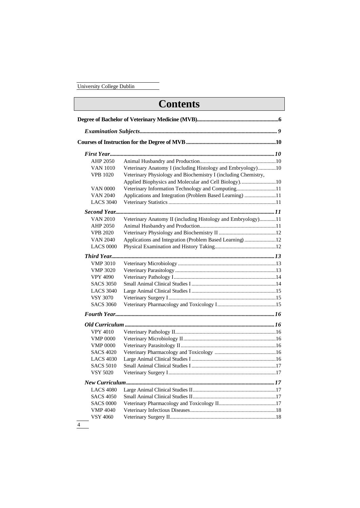# **Contents Degree of Bachelor of Veterinary Medicine (MVB)............................................................6** *Examination Subjects..................................................................................................... 9* **Courses of Instruction for the Degree of MVB..................................................................10** *First Year.........................................................................................................................10* AHP 2050 Animal Husbandry and Production........................................................10 VAN 1010 Veterinary Anatomy I (including Histology and Embryology).............10 VPB 1020 Veterinary Physiology and Biochemistry I (including Chemistry, Applied Biophysics and Molecular and Cell Biology)..........................10 VAN 0000 Veterinary Information Technology and Computing.............................11 VAN 2040 Applications and Integration (Problem Based Learning) .......................11 LACS 3040 Veterinary Statistics...............................................................................11 *Second Year.....................................................................................................................11* VAN 2010 Veterinary Anatomy II (including Histology and Embryology)............11 AHP 2050 Animal Husbandry and Production........................................................11 VPB 2020 Veterinary Physiology and Biochemistry II ..........................................12 VAN 2040 Applications and Integration (Problem Based Learning) .......................12 LACS 0000 Physical Examination and History Taking.............................................12 *Third Year........................................................................................................................13* VMP 3010 Veterinary Microbiology ........................................................................13 VMP 3020 Veterinary Parasitology ..........................................................................13 VPY 4090 Veterinary Pathology I...........................................................................14 SACS 3050 Small Animal Clinical Studies I..............................................................14 LACS 3040 Large Animal Clinical Studies I..............................................................15 VSY 3070 Veterinary Surgery I...............................................................................15 SACS 3060 Veterinary Pharmacology and Toxicology I...........................................15 *Fourth Year.....................................................................................................................16 Old Curriculum ..............................................................................................................16* VPY 4010 Veterinary Pathology II..........................................................................16 VMP 0000 Veterinary Microbiology II....................................................................16 VMP 0000 Veterinary Parasitology II......................................................................16 SACS 4020 Veterinary Pharmacology and Toxicology .............................................16 LACS 4030 Large Animal Clinical Studies I..............................................................16 SACS 5010 Small Animal Clinical Studies I..............................................................17 VSY 5020 Veterinary Surgery I...............................................................................17 *New Curriculum.............................................................................................................17* LACS 4080 Large Animal Clinical Studies II.............................................................17 SACS 4050 Small Animal Clinical Studies II.............................................................17 SACS 0000 Veterinary Pharmacology and Toxicology II..........................................17 VMP 4040 Veterinary Infectious Diseases...............................................................18 VSY 4060 Veterinary Surgery II..............................................................................18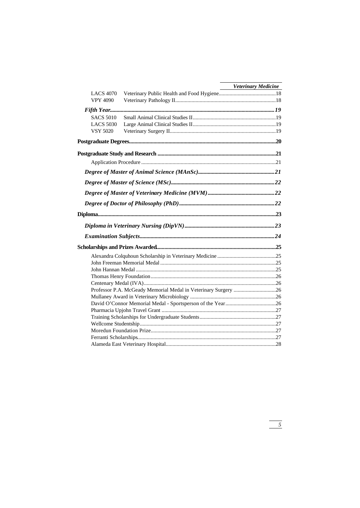|                  |                                                                | <b>Veterinary Medicine</b> |
|------------------|----------------------------------------------------------------|----------------------------|
| <b>LACS 4070</b> |                                                                |                            |
| <b>VPY 4090</b>  |                                                                |                            |
|                  |                                                                |                            |
| <b>SACS 5010</b> |                                                                |                            |
| <b>LACS 5030</b> |                                                                |                            |
| <b>VSY 5020</b>  |                                                                |                            |
|                  |                                                                |                            |
|                  |                                                                |                            |
|                  |                                                                |                            |
|                  |                                                                |                            |
|                  |                                                                |                            |
|                  |                                                                |                            |
|                  |                                                                |                            |
|                  |                                                                |                            |
|                  |                                                                |                            |
|                  |                                                                |                            |
|                  |                                                                |                            |
|                  |                                                                |                            |
|                  |                                                                |                            |
|                  |                                                                |                            |
|                  |                                                                |                            |
|                  |                                                                |                            |
|                  |                                                                |                            |
|                  |                                                                |                            |
|                  | Professor P.A. McGeady Memorial Medal in Veterinary Surgery 26 |                            |
|                  |                                                                |                            |
|                  |                                                                |                            |
|                  |                                                                |                            |
|                  |                                                                |                            |
|                  |                                                                |                            |
|                  |                                                                |                            |
|                  |                                                                |                            |
|                  |                                                                |                            |

 $\frac{1}{\sqrt{5}}$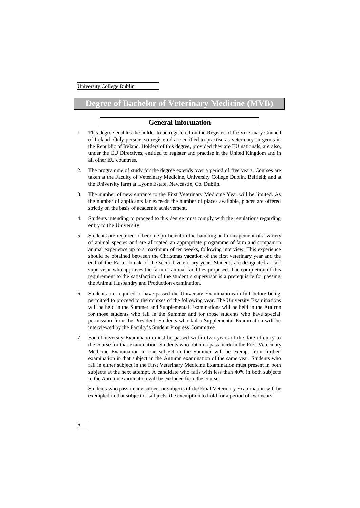6

# **Degree of Bachelor of Veterinary Medicine**

# **General Information**

- 1. This degree enables the holder to be registered on the Register of the Veterinary Council of Ireland. Only persons so registered are entitled to practise as veterinary surgeons in the Republic of Ireland. Holders of this degree, provided they are EU nationals, are also, under the EU Directives, entitled to register and practise in the United Kingdom and in all other EU countries.
- 2. The programme of study for the degree extends over a period of five years. Courses are taken at the Faculty of Veterinary Medicine, University College Dublin, Belfield; and at the University farm at Lyons Estate, Newcastle, Co. Dublin.
- 3. The number of new entrants to the First Veterinary Medicine Year will be limited. As the number of applicants far exceeds the number of places available, places are offered strictly on the basis of academic achievement.
- 4. Students intending to proceed to this degree must comply with the regulations regarding entry to the University.
- 5. Students are required to become proficient in the handling and management of a variety of animal species and are allocated an appropriate programme of farm and companion animal experience up to a maximum of ten weeks, following interview. This experience should be obtained between the Christmas vacation of the first veterinary year and the end of the Easter break of the second veterinary year. Students are designated a staff supervisor who approves the farm or animal facilities proposed. The completion of this requirement to the satisfaction of the student's supervisor is a prerequisite for passing the Animal Husbandry and Production examination.
- 6. Students are required to have passed the University Examinations in full before being permitted to proceed to the courses of the following year. The University Examinations will be held in the Summer and Supplemental Examinations will be held in the Autumn for those students who fail in the Summer and for those students who have special permission from the President. Students who fail a Supplemental Examination will be interviewed by the Faculty's Student Progress Committee.
- 7. Each University Examination must be passed within two years of the date of entry to the course for that examination. Students who obtain a pass mark in the First Veterinary Medicine Examination in one subject in the Summer will be exempt from further examination in that subject in the Autumn examination of the same year. Students who fail in either subject in the First Veterinary Medicine Examination must present in both subjects at the next attempt. A candidate who fails with less than 40% in both subjects in the Autumn examination will be excluded from the course.

Students who pass in any subject or subjects of the Final Veterinary Examination will be exempted in that subject or subjects, the exemption to hold for a period of two years.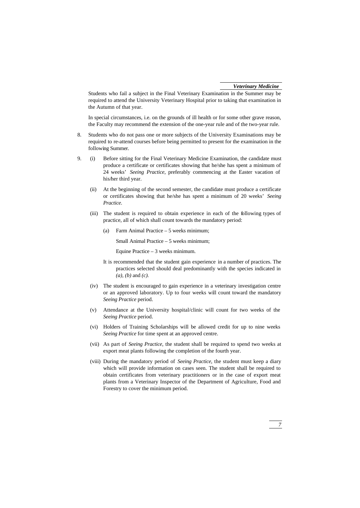Students who fail a subject in the Final Veterinary Examination in the Summer may be required to attend the University Veterinary Hospital prior to taking that examination in the Autumn of that year.

In special circumstances, i.e. on the grounds of ill health or for some other grave reason, the Faculty may recommend the extension of the one-year rule and of the two-year rule.

- 8. Students who do not pass one or more subjects of the University Examinations may be required to re-attend courses before being permitted to present for the examination in the following Summer.
- 9. (i) Before sitting for the Final Veterinary Medicine Examination, the candidate must produce a certificate or certificates showing that he/she has spent a minimum of 24 weeks' *Seeing Practice*, preferably commencing at the Easter vacation of his/her third year.
	- (ii) At the beginning of the second semester, the candidate must produce a certificate or certificates showing that he/she has spent a minimum of 20 weeks' *Seeing Practice*.
	- (iii) The student is required to obtain experience in each of the following types of practice, all of which shall count towards the mandatory period:
		- (a) Farm Animal Practice 5 weeks minimum;

Small Animal Practice – 5 weeks minimum;

Equine Practice – 3 weeks minimum.

- It is recommended that the student gain experience in a number of practices. The practices selected should deal predominantly with the species indicated in *(a), (b)* and *(c).*
- (iv) The student is encouraged to gain experience in a veterinary investigation centre or an approved laboratory. Up to four weeks will count toward the mandatory *Seeing Practice* period.
- (v) Attendance at the University hospital/clinic will count for two weeks of the *Seeing Practice* period.
- (vi) Holders of Training Scholarships will be allowed credit for up to nine weeks *Seeing Practice* for time spent at an approved centre.
- (vii) As part of *Seeing Practice*, the student shall be required to spend two weeks at export meat plants following the completion of the fourth year.
- (viii) During the mandatory period of *Seeing Practice*, the student must keep a diary which will provide information on cases seen. The student shall be required to obtain certificates from veterinary practitioners or in the case of export meat plants from a Veterinary Inspector of the Department of Agriculture, Food and Forestry to cover the minimum period.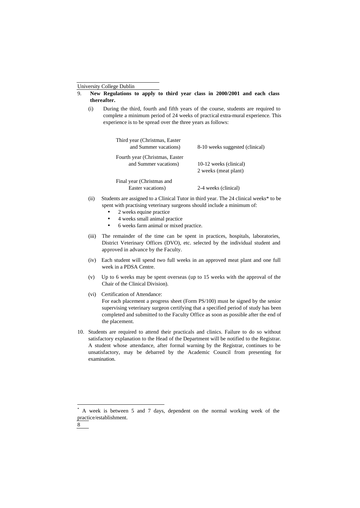- 9. **New Regulations to apply to third year class in 2000/2001 and each class thereafter.**
	- (i) During the third, fourth and fifth years of the course, students are required to complete a minimum period of 24 weeks of practical extra-mural experience. This experience is to be spread over the three years as follows:

| Third year (Christmas, Easter)<br>and Summer vacations) | 8-10 weeks suggested (clinical) |
|---------------------------------------------------------|---------------------------------|
| Fourth year (Christmas, Easter)                         |                                 |
| and Summer vacations)                                   | 10-12 weeks (clinical)          |
|                                                         | 2 weeks (meat plant)            |
| Final year (Christmas and                               |                                 |
| Easter vacations)                                       | 2-4 weeks (clinical)            |

- (ii) Students are assigned to a Clinical Tutor in third year. The 24 clinical weeks\* to be spent with practising veterinary surgeons should include a minimum of:
	- 2 weeks equine practice
	- 4 weeks small animal practice
	- 6 weeks farm animal or mixed practice.
- (iii) The remainder of the time can be spent in practices, hospitals, laboratories, District Veterinary Offices (DVO), etc. selected by the individual student and approved in advance by the Faculty.
- (iv) Each student will spend two full weeks in an approved meat plant and one full week in a PDSA Centre.
- (v) Up to 6 weeks may be spent overseas (up to 15 weeks with the approval of the Chair of the Clinical Division).
- (vi) Certification of Attendance:

For each placement a progress sheet (Form PS/100) must be signed by the senior supervising veterinary surgeon certifying that a specified period of study has been completed and submitted to the Faculty Office as soon as possible after the end of the placement.

10. Students are required to attend their practicals and clinics. Failure to do so without satisfactory explanation to the Head of the Department will be notified to the Registrar. A student whose attendance, after formal warning by the Registrar, continues to be unsatisfactory, may be debarred by the Academic Council from presenting for examination.

j

<sup>\*</sup> A week is between 5 and 7 days, dependent on the normal working week of the practice/establishment.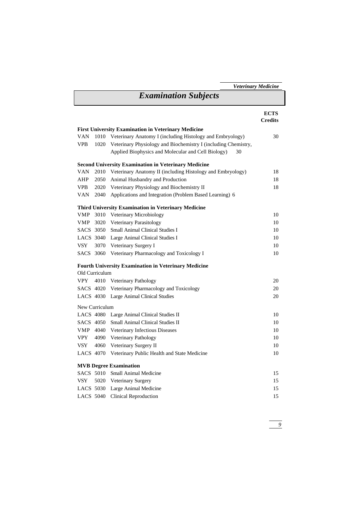| <b>Examination Subjects</b><br><b>First University Examination in Veterinary Medicine</b><br>Veterinary Anatomy I (including Histology and Embryology)<br>VAN<br>1010<br>Veterinary Physiology and Biochemistry I (including Chemistry,<br>VPB.<br>1020<br>Applied Biophysics and Molecular and Cell Biology)<br>30<br><b>Second University Examination in Veterinary Medicine</b><br>VAN<br>2010 Veterinary Anatomy II (including Histology and Embryology) | <b>ECTS</b><br><b>Credits</b><br>30 |
|--------------------------------------------------------------------------------------------------------------------------------------------------------------------------------------------------------------------------------------------------------------------------------------------------------------------------------------------------------------------------------------------------------------------------------------------------------------|-------------------------------------|
|                                                                                                                                                                                                                                                                                                                                                                                                                                                              |                                     |
|                                                                                                                                                                                                                                                                                                                                                                                                                                                              |                                     |
|                                                                                                                                                                                                                                                                                                                                                                                                                                                              |                                     |
|                                                                                                                                                                                                                                                                                                                                                                                                                                                              |                                     |
|                                                                                                                                                                                                                                                                                                                                                                                                                                                              |                                     |
|                                                                                                                                                                                                                                                                                                                                                                                                                                                              |                                     |
|                                                                                                                                                                                                                                                                                                                                                                                                                                                              |                                     |
|                                                                                                                                                                                                                                                                                                                                                                                                                                                              | 18                                  |
| 2050 Animal Husbandry and Production<br>AHP                                                                                                                                                                                                                                                                                                                                                                                                                  | 18                                  |
| VPB.<br>2020 Veterinary Physiology and Biochemistry II                                                                                                                                                                                                                                                                                                                                                                                                       | 18                                  |
| Applications and Integration (Problem Based Learning) 6<br>VAN<br>2040                                                                                                                                                                                                                                                                                                                                                                                       |                                     |
| Third University Examination in Veterinary Medicine                                                                                                                                                                                                                                                                                                                                                                                                          |                                     |
| VMP<br>3010 Veterinary Microbiology                                                                                                                                                                                                                                                                                                                                                                                                                          | 10                                  |
| <b>VMP</b><br>3020 Veterinary Parasitology                                                                                                                                                                                                                                                                                                                                                                                                                   | 10                                  |
| SACS 3050 Small Animal Clinical Studies I                                                                                                                                                                                                                                                                                                                                                                                                                    | 10                                  |
| LACS 3040 Large Animal Clinical Studies I                                                                                                                                                                                                                                                                                                                                                                                                                    | 10                                  |
| VSY<br>3070 Veterinary Surgery I                                                                                                                                                                                                                                                                                                                                                                                                                             | $10\,$                              |
| SACS 3060<br>Veterinary Pharmacology and Toxicology I                                                                                                                                                                                                                                                                                                                                                                                                        | 10                                  |
| <b>Fourth University Examination in Veterinary Medicine</b>                                                                                                                                                                                                                                                                                                                                                                                                  |                                     |
| Old Curriculum                                                                                                                                                                                                                                                                                                                                                                                                                                               |                                     |
| VPY<br>4010 Veterinary Pathology                                                                                                                                                                                                                                                                                                                                                                                                                             | 20                                  |
| SACS 4020 Veterinary Pharmacology and Toxicology                                                                                                                                                                                                                                                                                                                                                                                                             | 20                                  |
| LACS 4030 Large Animal Clinical Studies                                                                                                                                                                                                                                                                                                                                                                                                                      | $20\,$                              |
| New Curriculum                                                                                                                                                                                                                                                                                                                                                                                                                                               |                                     |
| LACS 4080 Large Animal Clinical Studies II                                                                                                                                                                                                                                                                                                                                                                                                                   | 10                                  |
| SACS 4050<br>Small Animal Clinical Studies II                                                                                                                                                                                                                                                                                                                                                                                                                | 10                                  |
| VMP<br>4040 Veterinary Infectious Diseases                                                                                                                                                                                                                                                                                                                                                                                                                   | 10                                  |
| <b>VPY</b><br>4090 Veterinary Pathology                                                                                                                                                                                                                                                                                                                                                                                                                      | 10                                  |
| VSY<br>4060<br>Veterinary Surgery II                                                                                                                                                                                                                                                                                                                                                                                                                         | 10                                  |
| LACS 4070 Veterinary Public Health and State Medicine                                                                                                                                                                                                                                                                                                                                                                                                        | $10\,$                              |
| <b>MVB Degree Examination</b>                                                                                                                                                                                                                                                                                                                                                                                                                                |                                     |
| SACS 5010<br>Small Animal Medicine                                                                                                                                                                                                                                                                                                                                                                                                                           | 15                                  |
| <b>VSY</b><br>5020<br>Veterinary Surgery                                                                                                                                                                                                                                                                                                                                                                                                                     | 15                                  |
| LACS 5030 Large Animal Medicine                                                                                                                                                                                                                                                                                                                                                                                                                              | 15                                  |
| <b>Clinical Reproduction</b><br>LACS 5040                                                                                                                                                                                                                                                                                                                                                                                                                    | 15                                  |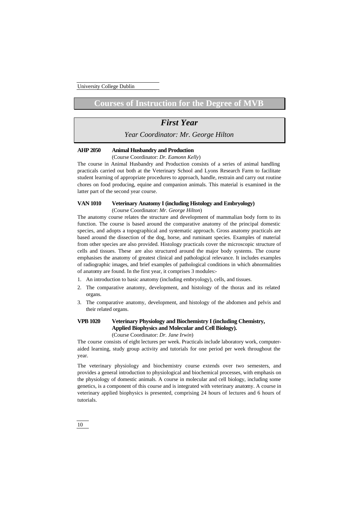# Courses of Instruction for the Degree of

# *First Year*

*Year Coordinator: Mr. George Hilton*

#### **AHP 2050 Animal Husbandry and Production**

(Course Coordinator: *Dr. Eamonn Kelly*)

The course in Animal Husbandry and Production consists of a series of animal handling practicals carried out both at the Veterinary School and Lyons Research Farm to facilitate student learning of appropriate procedures to approach, handle, restrain and carry out routine chores on food producing, equine and companion animals. This material is examined in the latter part of the second year course.

# **VAN 1010 Veterinary Anatomy I (including Histology and Embryology)**

(Course Coordinator: *Mr. George Hilton*)

The anatomy course relates the structure and development of mammalian body form to its function. The course is based around the comparative anatomy of the principal domestic species, and adopts a topographical and systematic approach. Gross anatomy practicals are based around the dissection of the dog, horse, and ruminant species. Examples of material from other species are also provided. Histology practicals cover the microscopic structure of cells and tissues. These are also structured around the major body systems. The course emphasises the anatomy of greatest clinical and pathological relevance. It includes examples of radiographic images, and brief examples of pathological conditions in which abnormalities of anatomy are found. In the first year, it comprises 3 modules:-

- 1. An introduction to basic anatomy (including embryology), cells, and tissues.
- 2. The comparative anatomy, development, and histology of the thorax and its related organs.
- 3. The comparative anatomy, development, and histology of the abdomen and pelvis and their related organs.

# **VPB 1020 Veterinary Physiology and Biochemistry I (including Chemistry, Applied Biophysics and Molecular and Cell Biology).** (Course Coordinator: *Dr. Jane Irwin*)

The course consists of eight lectures per week. Practicals include laboratory work, computeraided learning, study group activity and tutorials for one period per week throughout the year.

The veterinary physiology and biochemistry course extends over two semesters, and provides a general introduction to physiological and biochemical processes, with emphasis on the physiology of domestic animals. A course in molecular and cell biology, including some genetics, is a component of this course and is integrated with veterinary anatomy. A course in veterinary applied biophysics is presented, comprising 24 hours of lectures and 6 hours of tutorials.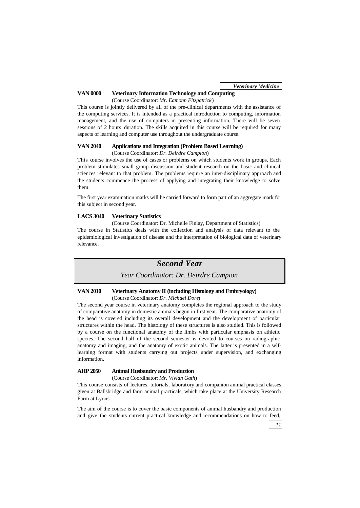# **VAN 0000 Veterinary Information Technology and Computing**

(Course Coordinator: *Mr. Eamonn Fitzpatrick*)

This course is jointly delivered by all of the pre-clinical departments with the assistance of the computing services. It is intended as a practical introduction to computing, information management, and the use of computers in presenting information. There will be seven sessions of 2 hours duration. The skills acquired in this course will be required for many aspects of learning and computer use throughout the undergraduate course.

### **VAN 2040 Applications and Integration (Problem Based Learning)**

(Course Coordinator: *Dr. Deirdre Campion*)

This course involves the use of cases or problems on which students work in groups. Each problem stimulates small group discussion and student research on the basic and clinical sciences relevant to that problem. The problems require an inter-disciplinary approach and the students commence the process of applying and integrating their knowledge to solve them.

The first year examination marks will be carried forward to form part of an aggregate mark for this subject in second year.

### **LACS 3040 Veterinary Statistics**

(Course Coordinator: Dr. Michelle Finlay, Department of Statistics) The course in Statistics deals with the collection and analysis of data relevant to the epidemiological investigation of disease and the interpretation of biological data of veterinary relevance.

# *Second Year*

*Year Coordinator: Dr. Deirdre Campion*

### **VAN 2010 Veterinary Anatomy II (including Histology and Embryology)** (Course Coordinator: *Dr. Michael Dore*)

The second year course in veterinary anatomy completes the regional approach to the study of comparative anatomy in domestic animals begun in first year. The comparative anatomy of the head is covered including its overall development and the development of particular structures within the head. The histology of these structures is also studied. This is followed by a course on the functional anatomy of the limbs with particular emphasis on athletic species. The second half of the second semester is devoted to courses on radiographic anatomy and imaging, and the anatomy of exotic animals. The latter is presented in a selflearning format with students carrying out projects under supervision, and exchanging information.

# **AHP 2050 Animal Husbandry and Production**

(Course Coordinator: *Mr. Vivian Gath*)

This course consists of lectures, tutorials, laboratory and companion animal practical classes given at Ballsbridge and farm animal practicals, which take place at the University Research Farm at Lyons.

The aim of the course is to cover the basic components of animal husbandry and production and give the students current practical knowledge and recommendations on how to feed,

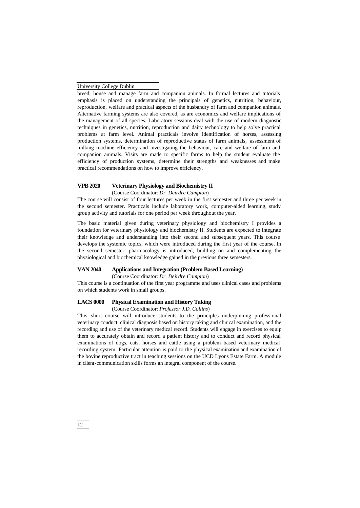breed, house and manage farm and companion animals. In formal lectures and tutorials emphasis is placed on understanding the principals of genetics, nutrition, behaviour, reproduction, welfare and practical aspects of the husbandry of farm and companion animals. Alternative farming systems are also covered, as are economics and welfare implications of the management of all species. Laboratory sessions deal with the use of modern diagnostic techniques in genetics, nutrition, reproduction and dairy technology to help solve practical problems at farm level. Animal practicals involve identification of horses, assessing production systems, determination of reproductive status of farm animals, assessment of milking machine efficiency and investigating the behaviour, care and welfare of farm and companion animals. Visits are made to specific farms to help the student evaluate the efficiency of production systems, determine their strengths and weaknesses and make practical recommendations on how to improve efficiency.

### **VPB 2020 Veterinary Physiology and Biochemistry II**

(Course Coordinator: *Dr. Deirdre Campion*)

The course will consist of four lectures per week in the first semester and three per week in the second semester. Practicals include laboratory work, computer-aided learning, study group activity and tutorials for one period per week throughout the year.

The basic material given during veterinary physiology and biochemistry I provides a foundation for veterinary physiology and biochemistry II. Students are expected to integrate their knowledge and understanding into their second and subsequent years. This course develops the systemic topics, which were introduced during the first year of the course. In the second semester, pharmacology is introduced, building on and complementing the physiological and biochemical knowledge gained in the previous three semesters.

# **VAN 2040 Applications and Integration (Problem Based Learning)**

(Course Coordinator: *Dr. Deirdre Campion*)

This course is a continuation of the first year programme and uses clinical cases and problems on which students work in small groups.

# **LACS 0000 Physical Examination and History Taking**

(Course Coordinator: *Professor J.D. Collins*)

This short course will introduce students to the principles underpinning professional veterinary conduct, clinical diagnosis based on history taking and clinical examination, and the recording and use of the veterinary medical record. Students will engage in exercises to equip them to accurately obtain and record a patient history and to conduct and record physical examinations of dogs, cats, horses and cattle using a problem based veterinary medical recording system. Particular attention is paid to the physical examination and examination of the bovine reproductive tract in teaching sessions on the UCD Lyons Estate Farm. A module in client-communication skills forms an integral component of the course.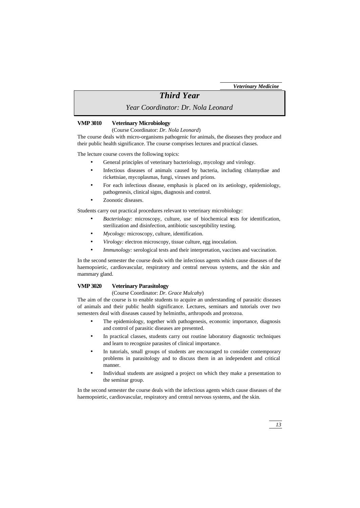# *Third Year*

*Year Coordinator: Dr. Nola Leonard*

### **VMP 3010 Veterinary Microbiology**

(Course Coordinator: *Dr. Nola Leonard*)

The course deals with micro-organisms pathogenic for animals, the diseases they produce and their public health significance. The course comprises lectures and practical classes.

The lecture course covers the following topics:

- General principles of veterinary bacteriology, mycology and virology.
- Infectious diseases of animals caused by bacteria, including chlamydiae and rickettsiae, mycoplasmas, fungi, viruses and prions.
- For each infectious disease, emphasis is placed on its aetiology, epidemiology, pathogenesis, clinical signs, diagnosis and control.
- Zoonotic diseases.

Students carry out practical procedures relevant to veterinary microbiology:

- *Bacteriology:* microscopy, culture, use of biochemical tests for identification, sterilization and disinfection, antibiotic susceptibility testing.
- *Mycology:* microscopy, culture, identification.
- *Virology:* electron microscopy, tissue culture, egg inoculation.
- *Immunology:* serological tests and their interpretation, vaccines and vaccination.

In the second semester the course deals with the infectious agents which cause diseases of the haemopoietic, cardiovascular, respiratory and central nervous systems, and the skin and mammary gland.

### **VMP 3020 Veterinary Parasitology**

#### (Course Coordinator: *Dr. Grace Mulcahy*)

The aim of the course is to enable students to acquire an understanding of parasitic diseases of animals and their public health significance. Lectures, seminars and tutorials over two semesters deal with diseases caused by helminths, arthropods and protozoa.

- The epidemiology, together with pathogenesis, economic importance, diagnosis and control of parasitic diseases are presented.
- In practical classes, students carry out routine laboratory diagnostic techniques and learn to recognize parasites of clinical importance.
- In tutorials, small groups of students are encouraged to consider contemporary problems in parasitology and to discuss them in an independent and critical manner.
- Individual students are assigned a project on which they make a presentation to the seminar group.

In the second semester the course deals with the infectious agents which cause diseases of the haemopoietic, cardiovascular, respiratory and central nervous systems, and the skin.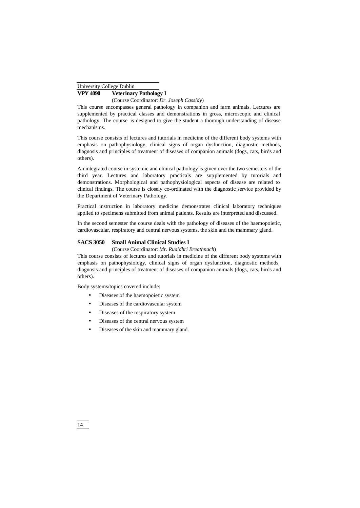# **VPY 4090 Veterinary Pathology I**

(Course Coordinator: *Dr. Joseph Cassidy*)

This course encompasses general pathology in companion and farm animals. Lectures are supplemented by practical classes and demonstrations in gross, microscopic and clinical pathology. The course is designed to give the student a thorough understanding of disease mechanisms.

This course consists of lectures and tutorials in medicine of the different body systems with emphasis on pathophysiology, clinical signs of organ dysfunction, diagnostic methods, diagnosis and principles of treatment of diseases of companion animals (dogs, cats, birds and others).

An integrated course in systemic and clinical pathology is given over the two semesters of the third year. Lectures and laboratory practicals are supplemented by tutorials and demonstrations. Morphological and pathophysiological aspects of disease are related to clinical findings. The course is closely co-ordinated with the diagnostic service provided by the Department of Veterinary Pathology.

Practical instruction in laboratory medicine demonstrates clinical laboratory techniques applied to specimens submitted from animal patients. Results are interpreted and discussed.

In the second semester the course deals with the pathology of diseases of the haemopoietic, cardiovascular, respiratory and central nervous systems, the skin and the mammary gland.

# **SACS 3050 Small Animal Clinical Studies I**

(Course Coordinator: *Mr. Ruaidhri Breathnach*)

This course consists of lectures and tutorials in medicine of the different body systems with emphasis on pathophysiology, clinical signs of organ dysfunction, diagnostic methods, diagnosis and principles of treatment of diseases of companion animals (dogs, cats, birds and others).

Body systems/topics covered include:

- Diseases of the haemopoietic system
- Diseases of the cardiovascular system
- Diseases of the respiratory system
- Diseases of the central nervous system
- Diseases of the skin and mammary gland.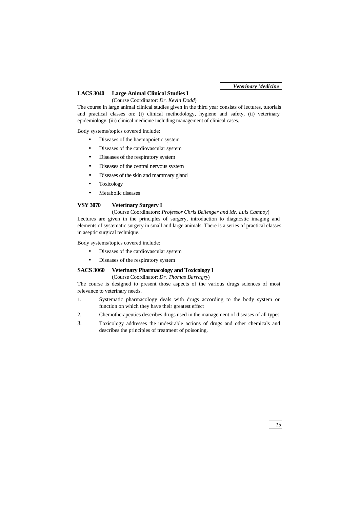# **LACS 3040 Large Animal Clinical Studies I**

(Course Coordinator: *Dr. Kevin Dodd*)

The course in large animal clinical studies given in the third year consists of lectures, tutorials and practical classes on: (i) clinical methodology, hygiene and safety, (ii) veterinary epidemiology, (iii) clinical medicine including management of clinical cases.

Body systems/topics covered include:

- Diseases of the haemopoietic system
- Diseases of the cardiovascular system
- Diseases of the respiratory system
- Diseases of the central nervous system
- Diseases of the skin and mammary gland
- **Toxicology**
- Metabolic diseases

# **VSY 3070 Veterinary Surgery I**

# (Course Coordinators: *Professor Chris Bellenger and Mr. Luis Campoy*)

Lectures are given in the principles of surgery, introduction to diagnostic imaging and elements of systematic surgery in small and large animals. There is a series of practical classes in aseptic surgical technique.

Body systems/topics covered include:

- Diseases of the cardiovascular system
- Diseases of the respiratory system

# **SACS 3060 Veterinary Pharmacology and Toxicology I**

(Course Coordinator: *Dr. Thomas Barragry*)

The course is designed to present those aspects of the various drugs sciences of most relevance to veterinary needs.

- 1. Systematic pharmacology deals with drugs according to the body system or function on which they have their greatest effect
- 2. Chemotherapeutics describes drugs used in the management of diseases of all types
- 3. Toxicology addresses the undesirable actions of drugs and other chemicals and describes the principles of treatment of poisoning.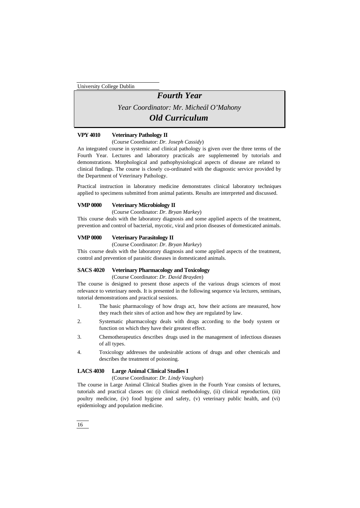# *Fourth Year*

*Year Coordinator: Mr. Micheál O'Mahony*

# *Old Curriculum*

# **VPY 4010 Veterinary Pathology II**

(Course Coordinator: *Dr. Joseph Cassidy*)

An integrated course in systemic and clinical pathology is given over the three terms of the Fourth Year. Lectures and laboratory practicals are supplemented by tutorials and demonstrations. Morphological and pathophysiological aspects of disease are related to clinical findings. The course is closely co-ordinated with the diagnostic service provided by the Department of Veterinary Pathology.

Practical instruction in laboratory medicine demonstrates clinical laboratory techniques applied to specimens submitted from animal patients. Results are interpreted and discussed.

### **VMP 0000 Veterinary Microbiology II**

(Course Coordinator: *Dr. Bryan Markey*)

This course deals with the laboratory diagnosis and some applied aspects of the treatment, prevention and control of bacterial, mycotic, viral and prion diseases of domesticated animals.

# **VMP 0000 Veterinary Parasitology II**

(Course Coordinator: *Dr. Bryan Markey*)

This course deals with the laboratory diagnosis and some applied aspects of the treatment, control and prevention of parasitic diseases in domesticated animals.

# **SACS 4020 Veterinary Pharmacology and Toxicology**

(Course Coordinator: *Dr. David Brayden*)

The course is designed to present those aspects of the various drugs sciences of most relevance to veterinary needs. It is presented in the following sequence via lectures, seminars, tutorial demonstrations and practical sessions.

- 1. The basic pharmacology of how drugs act, how their actions are measured, how they reach their sites of action and how they are regulated by law.
- 2. Systematic pharmacology deals with drugs according to the body system or function on which they have their greatest effect.
- 3. Chemotherapeutics describes drugs used in the management of infectious diseases of all types.
- 4. Toxicology addresses the undesirable actions of drugs and other chemicals and describes the treatment of poisoning.

# **LACS 4030 Large Animal Clinical Studies I**

(Course Coordinator: *Dr. Lindy Vaughan*)

The course in Large Animal Clinical Studies given in the Fourth Year consists of lectures, tutorials and practical classes on: (i) clinical methodology, (ii) clinical reproduction, (iii) poultry medicine, (iv) food hygiene and safety, (v) veterinary public health, and (vi) epidemiology and population medicine.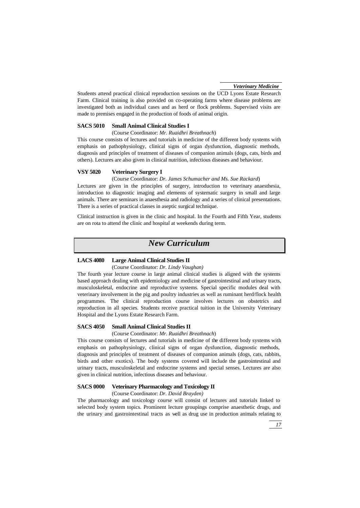Students attend practical clinical reproduction sessions on the UCD Lyons Estate Research Farm. Clinical training is also provided on co-operating farms where disease problems are investigated both as individual cases and as herd or flock problems. Supervised visits are made to premises engaged in the production of foods of animal origin.

# **SACS 5010 Small Animal Clinical Studies I**

(Course Coordinator: *Mr. Ruaidhri Breathnach*)

This course consists of lectures and tutorials in medicine of the different body systems with emphasis on pathophysiology, clinical signs of organ dysfunction, diagnostic methods, diagnosis and principles of treatment of diseases of companion animals (dogs, cats, birds and others). Lectures are also given in clinical nutrition, infectious diseases and behaviour.

# **VSY 5020 Veterinary Surgery I**

(Course Coordinator: *Dr. James Schumacher and Ms. Sue Rackard*) Lectures are given in the principles of surgery, introduction to veterinary anaesthesia, introduction to diagnostic imaging and elements of systematic surgery in small and large animals. There are seminars in anaesthesia and radiology and a series of clinical presentations. There is a series of practical classes in aseptic surgical technique.

Clinical instruction is given in the clinic and hospital. In the Fourth and Fifth Year, students are on rota to attend the clinic and hospital at weekends during term.

# *New Curriculum*

# **LACS 4080 Large Animal Clinical Studies II**

(Course Coordinator: *Dr. Lindy Vaughan)*

The fourth year lecture course in large animal clinical studies is aligned with the systems based approach dealing with epidemiology and medicine of gastrointestinal and urinary tracts, musculoskeletal, endocrine and reproductive systems. Special specific modules deal with veterinary involvement in the pig and poultry industries as well as ruminant herd/flock health programmes. The clinical reproduction course involves lectures on obstetrics and reproduction in all species. Students receive practical tuition in the University Veterinary Hospital and the Lyons Estate Research Farm.

# **SACS 4050 Small Animal Clinical Studies II**

(Course Coordinator: *Mr. Ruaidhri Breathnach*)

This course consists of lectures and tutorials in medicine of the different body systems with emphasis on pathophysiology, clinical signs of organ dysfunction, diagnostic methods, diagnosis and principles of treatment of diseases of companion animals (dogs, cats, rabbits, birds and other exotics). The body systems covered will include the gastrointestinal and urinary tracts, musculoskeletal and endocrine systems and special senses. Lectures are also given in clinical nutrition, infectious diseases and behaviour.

#### **SACS 0000 Veterinary Pharmacology and Toxicology II**

(Course Coordinator: *Dr. David Brayden)*

The pharmacology and toxicology course will consist of lectures and tutorials linked to selected body system topics. Prominent lecture groupings comprise anaesthetic drugs, and the urinary and gastrointestinal tracts as well as drug use in production animals relating to

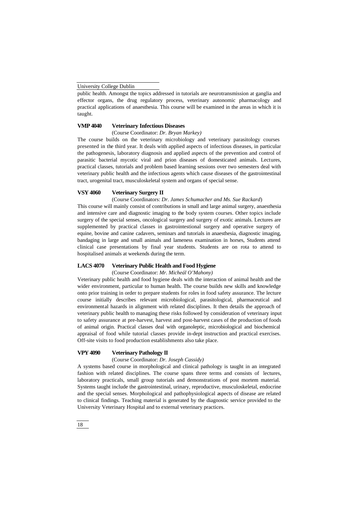public health. Amongst the topics addressed in tutorials are neurotransmission at ganglia and effector organs, the drug regulatory process, veterinary autonomic pharmacology and practical applications of anaesthesia. This course will be examined in the areas in which it is taught.

# **VMP 4040 Veterinary Infectious Diseases**

(Course Coordinator: *Dr. Bryan Markey)*

The course builds on the veterinary microbiology and veterinary parasitology courses presented in the third year. It deals with applied aspects of infectious diseases, in particular the pathogenesis, laboratory diagnosis and applied aspects of the prevention and control of parasitic bacterial mycotic viral and prion diseases of domesticated animals. Lectures, practical classes, tutorials and problem based learning sessions over two semesters deal with veterinary public health and the infectious agents which cause diseases of the gastrointestinal tract, urogenital tract, musculoskeletal system and organs of special sense.

# **VSY 4060 Veterinary Surgery II**

(Course Coordinators: *Dr. James Schumacher and Ms. Sue Rackard*)

This course will mainly consist of contributions in small and large animal surgery, anaesthesia and intensive care and diagnostic imaging to the body system courses. Other topics include surgery of the special senses, oncological surgery and surgery of exotic animals. Lectures are supplemented by practical classes in gastrointestional surgery and operative surgery of equine, bovine and canine cadavers, seminars and tutorials in anaesthesia, diagnostic imaging, bandaging in large and small animals and lameness examination in horses, Students attend clinical case presentations by final year students. Students are on rota to attend to hospitalised animals at weekends during the term.

# **LACS 4070 Veterinary Public Health and Food Hygiene**

(Course Coordinator: *Mr. Micheál O'Mahony)*

Veterinary public health and food hygiene deals with the interaction of animal health and the wider environment, particular to human health. The course builds new skills and knowledge onto prior training in order to prepare students for roles in food safety assurance. The lecture course initially describes relevant microbiological, parasitological, pharmaceutical and environmental hazards in alignment with related disciplines. It then details the approach of veterinary public health to managing these risks followed by consideration of veterinary input to safety assurance at pre-harvest, harvest and post-harvest cases of the production of foods of animal origin. Practical classes deal with organoleptic, microbiological and biochemical appraisal of food while tutorial classes provide in-dept instruction and practical exercises. Off-site visits to food production establishments also take place.

# **VPY 4090 Veterinary Pathology II**

(Course Coordinator: *Dr. Joseph Cassidy)*

A systems based course in morphological and clinical pathology is taught in an integrated fashion with related disciplines. The course spans three terms and consists of lectures, laboratory practicals, small group tutorials and demonstrations of post mortem material. Systems taught include the gastrointestinal, urinary, reproductive, musculoskeletal, endocrine and the special senses. Morphological and pathophysiological aspects of disease are related to clinical findings. Teaching material is generated by the diagnostic service provided to the University Veterinary Hospital and to external veterinary practices.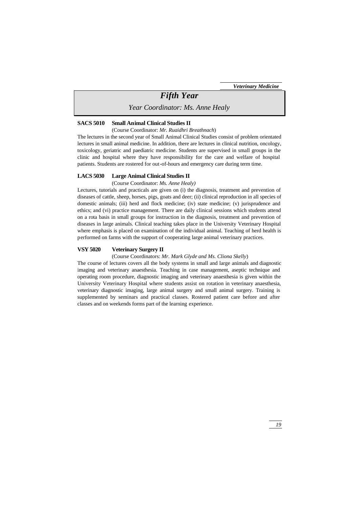# *Fifth Year*

*Year Coordinator: Ms. Anne Healy*

#### **SACS 5010 Small Animal Clinical Studies II**

(Course Coordinator: *Mr. Ruaidhri Breathnach*)

The lectures in the second year of Small Animal Clinical Studies consist of problem orientated lectures in small animal medicine. In addition, there are lectures in clinical nutrition, oncology, toxicology, geriatric and paediatric medicine. Students are supervised in small groups in the clinic and hospital where they have responsibility for the care and welfare of hospital patients. Students are rostered for out-of-hours and emergency care during term time.

# **LACS 5030 Large Animal Clinical Studies II**

(Course Coordinator: *Ms. Anne Healy)*

Lectures, tutorials and practicals are given on (i) the diagnosis, treatment and prevention of diseases of cattle, sheep, horses, pigs, goats and deer; (ii) clinical reproduction in all species of domestic animals; (iii) herd and flock medicine; (iv) state medicine; (v) jurisprudence and ethics; and (vi) practice management. There are daily clinical sessions which students attend on a rota basis in small groups for instruction in the diagnosis, treatment and prevention of diseases in large animals. Clinical teaching takes place in the University Veterinary Hospital where emphasis is placed on examination of the individual animal. Teaching of herd health is performed on farms with the support of cooperating large animal veterinary practices.

# **VSY 5020 Veterinary Surgery II**

(Course Coordinators: *Mr. Mark Glyde and Ms. Cliona Skelly*)

The course of lectures covers all the body systems in small and large animals and diagnostic imaging and veterinary anaesthesia. Teaching in case management, aseptic technique and operating room procedure, diagnostic imaging and veterinary anaesthesia is given within the University Veterinary Hospital where students assist on rotation in veterinary anaesthesia, veterinary diagnostic imaging, large animal surgery and small animal surgery. Training is supplemented by seminars and practical classes. Rostered patient care before and after classes and on weekends forms part of the learning experience.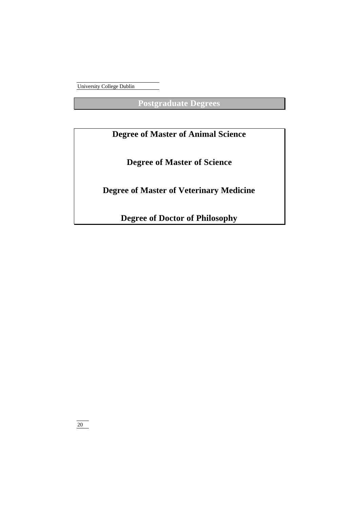**Postgraduate Degrees**

# **Degree of Master of Animal Science**

**Degree of Master of Science**

**Degree of Master of Veterinary Medicine**

**Degree of Doctor of Philosophy**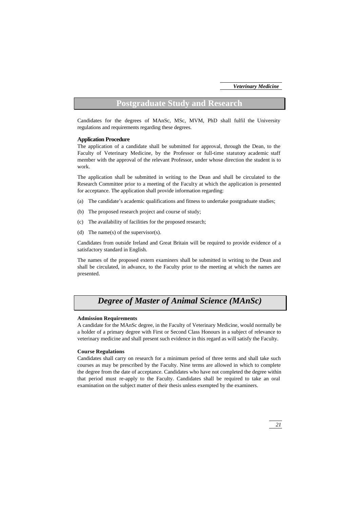# **Postgraduate Study and Research**

Candidates for the degrees of MAnSc, MSc, MVM, PhD shall fulfil the University regulations and requirements regarding these degrees.

#### **Application Procedure**

The application of a candidate shall be submitted for approval, through the Dean, to the Faculty of Veterinary Medicine, by the Professor or full-time statutory academic staff member with the approval of the relevant Professor, under whose direction the student is to work.

The application shall be submitted in writing to the Dean and shall be circulated to the Research Committee prior to a meeting of the Faculty at which the application is presented for acceptance. The application shall provide information regarding:

- (a) The candidate's academic qualifications and fitness to undertake postgraduate studies;
- (b) The proposed research project and course of study;
- (c) The availability of facilities for the proposed research;
- (d) The name(s) of the supervisor(s).

Candidates from outside Ireland and Great Britain will be required to provide evidence of a satisfactory standard in English.

The names of the proposed extern examiners shall be submitted in writing to the Dean and shall be circulated, in advance, to the Faculty prior to the meeting at which the names are presented.

# *Degree of Master of Animal Science (MAnSc)*

# **Admission Requirements**

A candidate for the MAnSc degree, in the Faculty of Veterinary Medicine, would normally be a holder of a primary degree with First or Second Class Honours in a subject of relevance to veterinary medicine and shall present such evidence in this regard as will satisfy the Faculty.

#### **Course Regulations**

Candidates shall carry on research for a minimum period of three terms and shall take such courses as may be prescribed by the Faculty. Nine terms are allowed in which to complete the degree from the date of acceptance. Candidates who have not completed the degree within that period must re-apply to the Faculty. Candidates shall be required to take an oral examination on the subject matter of their thesis unless exempted by the examiners.

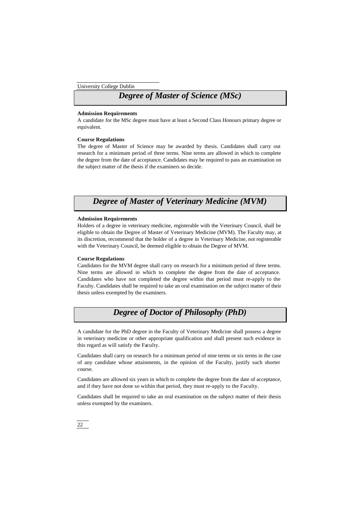# *Degree of Master of Science (MSc)*

#### **Admission Requirements**

A candidate for the MSc degree must have at least a Second Class Honours primary degree or equivalent.

### **Course Regulations**

The degree of Master of Science may be awarded by thesis. Candidates shall carry out research for a minimum period of three terms. Nine terms are allowed in which to complete the degree from the date of acceptance. Candidates may be required to pass an examination on the subject matter of the thesis if the examiners so decide.

# *Degree of Master of Veterinary Medicine (MVM)*

### **Admission Requirements**

Holders of a degree in veterinary medicine, registerable with the Veterinary Council, shall be eligible to obtain the Degree of Master of Veterinary Medicine (MVM). The Faculty may, at its discretion, recommend that the holder of a degree in Veterinary Medicine, not registerable with the Veterinary Council, be deemed eligible to obtain the Degree of MVM.

#### **Course Regulations**

Candidates for the MVM degree shall carry on research for a minimum period of three terms. Nine terms are allowed in which to complete the degree from the date of acceptance. Candidates who have not completed the degree within that period must re-apply to the Faculty. Candidates shall be required to take an oral examination on the subject matter of their thesis unless exempted by the examiners.

# *Degree of Doctor of Philosophy (PhD)*

A candidate for the PhD degree in the Faculty of Veterinary Medicine shall possess a degree in veterinary medicine or other appropriate qualification and shall present such evidence in this regard as will satisfy the Faculty.

Candidates shall carry on research for a minimum period of nine terms or six terms in the case of any candidate whose attainments, in the opinion of the Faculty, justify such shorter course.

Candidates are allowed six years in which to complete the degree from the date of acceptance, and if they have not done so within that period, they must re-apply to the Faculty.

Candidates shall be required to take an oral examination on the subject matter of their thesis unless exempted by the examiners.

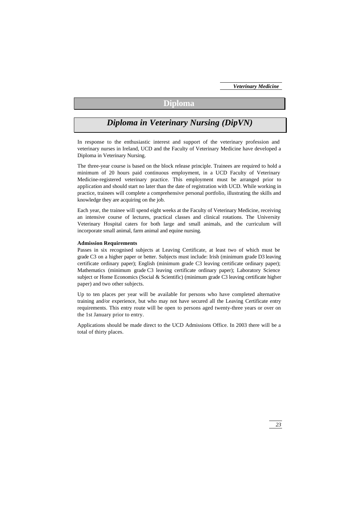# **Diploma**

# *Diploma in Veterinary Nursing (DipVN)*

In response to the enthusiastic interest and support of the veterinary profession and veterinary nurses in Ireland, UCD and the Faculty of Veterinary Medicine have developed a Diploma in Veterinary Nursing.

The three-year course is based on the block release principle. Trainees are required to hold a minimum of 20 hours paid continuous employment, in a UCD Faculty of Veterinary Medicine-registered veterinary practice. This employment must be arranged prior to application and should start no later than the date of registration with UCD. While working in practice, trainees will complete a comprehensive personal portfolio, illustrating the skills and knowledge they are acquiring on the job.

Each year, the trainee will spend eight weeks at the Faculty of Veterinary Medicine, receiving an intensive course of lectures, practical classes and clinical rotations. The University Veterinary Hospital caters for both large and small animals, and the curriculum will incorporate small animal, farm animal and equine nursing.

#### **Admission Requirements**

Passes in six recognised subjects at Leaving Certificate, at least two of which must be grade C3 on a higher paper or better. Subjects must include: Irish (minimum grade D3 leaving certificate ordinary paper); English (minimum grade C3 leaving certificate ordinary paper); Mathematics (minimum grade C3 leaving certificate ordinary paper); Laboratory Science subject or Home Economics (Social & Scientific) (minimum grade C3 leaving certificate higher paper) and two other subjects.

Up to ten places per year will be available for persons who have completed alternative training and/or experience, but who may not have secured all the Leaving Certificate entry requirements. This entry route will be open to persons aged twenty-three years or over on the 1st January prior to entry.

Applications should be made direct to the UCD Admissions Office. In 2003 there will be a total of thirty places.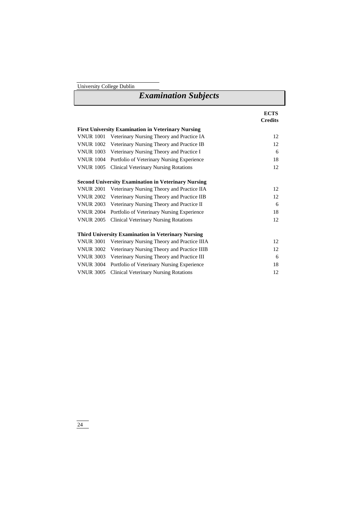| <b>Examination Subjects</b>                                |                                              |                               |  |  |
|------------------------------------------------------------|----------------------------------------------|-------------------------------|--|--|
|                                                            |                                              | <b>ECTS</b><br><b>Credits</b> |  |  |
| <b>First University Examination in Veterinary Nursing</b>  |                                              |                               |  |  |
| <b>VNUR 1001</b>                                           | Veterinary Nursing Theory and Practice IA    | 12                            |  |  |
| <b>VNUR 1002</b>                                           | Veterinary Nursing Theory and Practice IB    | 12                            |  |  |
| <b>VNUR 1003</b>                                           | Veterinary Nursing Theory and Practice I     | 6                             |  |  |
| <b>VNUR 1004</b>                                           | Portfolio of Veterinary Nursing Experience   | 18                            |  |  |
| <b>VNUR 1005</b>                                           | <b>Clinical Veterinary Nursing Rotations</b> | 12                            |  |  |
| <b>Second University Examination in Veterinary Nursing</b> |                                              |                               |  |  |
| <b>VNUR 2001</b>                                           | Veterinary Nursing Theory and Practice IIA   | 12                            |  |  |
| <b>VNUR 2002</b>                                           | Veterinary Nursing Theory and Practice IIB   | 12                            |  |  |
| <b>VNUR 2003</b>                                           | Veterinary Nursing Theory and Practice II    | 6                             |  |  |
| <b>VNUR 2004</b>                                           | Portfolio of Veterinary Nursing Experience   | 18                            |  |  |
| <b>VNUR 2005</b>                                           | <b>Clinical Veterinary Nursing Rotations</b> | 12                            |  |  |
| <b>Third University Examination in Veterinary Nursing</b>  |                                              |                               |  |  |
| <b>VNUR 3001</b>                                           | Veterinary Nursing Theory and Practice IIIA  | 12                            |  |  |
| <b>VNUR 3002</b>                                           | Veterinary Nursing Theory and Practice IIIB  | 12                            |  |  |
| <b>VNUR 3003</b>                                           | Veterinary Nursing Theory and Practice III   | 6                             |  |  |
| <b>VNUR 3004</b>                                           | Portfolio of Veterinary Nursing Experience   | 18                            |  |  |
| <b>VNUR 3005</b>                                           | <b>Clinical Veterinary Nursing Rotations</b> | 12                            |  |  |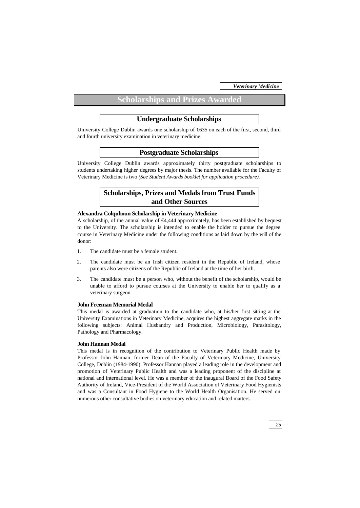# **Scholarships and Prizes Awarded**

# **Undergraduate Scholarships**

University College Dublin awards one scholarship of €635 on each of the first, second, third and fourth university examination in veterinary medicine.

# **Postgraduate Scholarships**

University College Dublin awards approximately thirty postgraduate scholarships to students undertaking higher degrees by major thesis. The number available for the Faculty of Veterinary Medicine is two *(See Student Awards booklet for application procedure).*

# **Scholarships, Prizes and Medals from Trust Funds and Other Sources**

# **Alexandra Colquhoun Scholarship in Veterinary Medicine**

A scholarship, of the annual value of €4,444 approximately, has been established by bequest to the University. The scholarship is intended to enable the holder to pursue the degree course in Veterinary Medicine under the following conditions as laid down by the will of the donor:

- 1. The candidate must be a female student.
- 2. The candidate must be an Irish citizen resident in the Republic of Ireland, whose parents also were citizens of the Republic of Ireland at the time of her birth.
- 3. The candidate must be a person who, without the benefit of the scholarship, would be unable to afford to pursue courses at the University to enable her to qualify as a veterinary surgeon.

# **John Freeman Memorial Medal**

This medal is awarded at graduation to the candidate who, at his/her first sitting at the University Examinations in Veterinary Medicine, acquires the highest aggregate marks in the following subjects: Animal Husbandry and Production, Microbiology, Parasitology, Pathology and Pharmacology.

#### **John Hannan Medal**

This medal is in recognition of the contribution to Veterinary Public Health made by Professor John Hannan, former Dean of the Faculty of Veterinary Medicine, University College, Dublin (1984-1990). Professor Hannan played a leading role in the development and promotion of Veterinary Public Health and was a leading proponent of the discipline at national and international level. He was a member of the inaugural Board of the Food Safety Authority of Ireland, Vice-President of the World Association of Veterinary Food Hygienists and was a Consultant in Food Hygiene to the World Health Organisation. He served on numerous other consultative bodies on veterinary education and related matters.

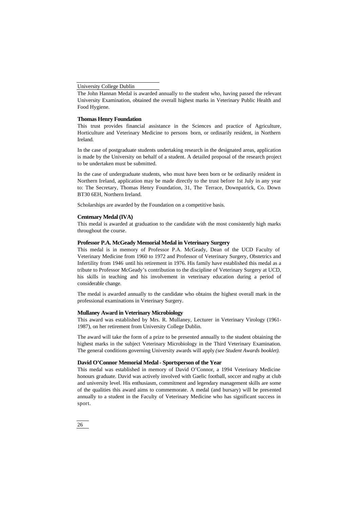The John Hannan Medal is awarded annually to the student who, having passed the relevant University Examination, obtained the overall highest marks in Veterinary Public Health and Food Hygiene.

#### **Thomas Henry Foundation**

This trust provides financial assistance in the Sciences and practice of Agriculture, Horticulture and Veterinary Medicine to persons born, or ordinarily resident, in Northern Ireland.

In the case of postgraduate students undertaking research in the designated areas, application is made by the University on behalf of a student. A detailed proposal of the research project to be undertaken must be submitted.

In the case of undergraduate students, who must have been born or be ordinarily resident in Northern Ireland, application may be made directly to the trust before 1st July in any year to: The Secretary, Thomas Henry Foundation, 31, The Terrace, Downpatrick, Co. Down BT30 6EH, Northern Ireland.

Scholarships are awarded by the Foundation on a competitive basis.

# **Centenary Medal (IVA)**

This medal is awarded at graduation to the candidate with the most consistently high marks throughout the course.

### **Professor P.A. McGeady Memorial Medal in Veterinary Surgery**

This medal is in memory of Professor P.A. McGeady, Dean of the UCD Faculty of Veterinary Medicine from 1960 to 1972 and Professor of Veterinary Surgery, Obstetrics and Infertility from 1946 until his retirement in 1976. His family have established this medal as a tribute to Professor McGeady's contribution to the discipline of Veterinary Surgery at UCD, his skills in teaching and his involvement in veterinary education during a period of considerable change.

The medal is awarded annually to the candidate who obtains the highest overall mark in the professional examinations in Veterinary Surgery.

#### **Mullaney Award in Veterinary Microbiology**

This award was established by Mrs. R. Mullaney, Lecturer in Veterinary Virology (1961- 1987), on her retirement from University College Dublin.

The award will take the form of a prize to be presented annually to the student obtaining the highest marks in the subject Veterinary Microbiology in the Third Veterinary Examination. The general conditions governing University awards will apply *(see Student Awards booklet).*

#### **David O'Connor Memorial Medal - Sportsperson of the Year**

This medal was established in memory of David O'Connor, a 1994 Veterinary Medicine honours graduate. David was actively involved with Gaelic football, soccer and rugby at club and university level. His enthusiasm, commitment and legendary management skills are some of the qualities this award aims to commemorate. A medal (and bursary) will be presented annually to a student in the Faculty of Veterinary Medicine who has significant success in sport.

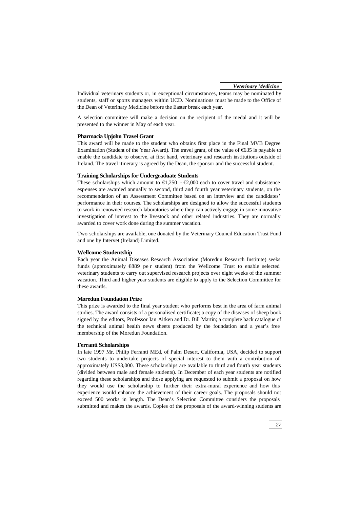Individual veterinary students or, in exceptional circumstances, teams may be nominated by students, staff or sports managers within UCD. Nominations must be made to the Office of the Dean of Veterinary Medicine before the Easter break each year.

A selection committee will make a decision on the recipient of the medal and it will be presented to the winner in May of each year.

#### **Pharmacia Upjohn Travel Grant**

This award will be made to the student who obtains first place in the Final MVB Degree Examination (Student of the Year Award). The travel grant, of the value of €635 is payable to enable the candidate to observe, at first hand, veterinary and research institutions outside of Ireland. The travel itinerary is agreed by the Dean, the sponsor and the successful student.

### **Training Scholarships for Undergraduate Students**

These scholarships which amount to  $\bigoplus$ , 250 -  $\bigoplus$ , 000 each to cover travel and subsistence expenses are awarded annually to second, third and fourth year veterinary students, on the recommendation of an Assessment Committee based on an interview and the candidates' performance in their courses. The scholarships are designed to allow the successful students to work in renowned research laboratories where they can actively engage in some innovative investigation of interest to the livestock and other related industries. They are normally awarded to cover work done during the summer vacation.

Two scholarships are available, one donated by the Veterinary Council Education Trust Fund and one by Intervet (Ireland) Limited.

#### **Wellcome Studentship**

Each year the Animal Diseases Research Association (Moredun Research Institute) seeks funds (approximately €889 pe r student) from the Wellcome Trust to enable selected veterinary students to carry out supervised research projects over eight weeks of the summer vacation. Third and higher year students are eligible to apply to the Selection Committee for these awards.

#### **Moredun Foundation Prize**

This prize is awarded to the final year student who performs best in the area of farm animal studies. The award consists of a personalised certificate; a copy of the diseases of sheep book signed by the editors, Professor Ian Aitken and Dr. Bill Martin; a complete back catalogue of the technical animal health news sheets produced by the foundation and a year's free membership of the Moredun Foundation.

#### **Ferranti Scholarships**

In late 1997 Mr. Philip Ferranti MEd, of Palm Desert, California, USA, decided to support two students to undertake projects of special interest to them with a contribution of approximately US\$3,000. These scholarships are available to third and fourth year students (divided between male and female students). In December of each year students are notified regarding these scholarships and those applying are requested to submit a proposal on how they would use the scholarship to further their extra-mural experience and how this experience would enhance the achievement of their career goals. The proposals should not exceed 500 works in length. The Dean's Selection Committee considers the proposals submitted and makes the awards. Copies of the proposals of the award-winning students are